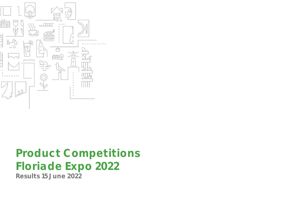

## Product Competitions Floriade Expo 2022 Results 15 June 2022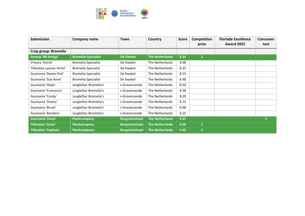

| <b>Submission</b>         | Company name               | Town                 | Country                | <b>Score</b> | Competition<br>prize    | <b>Floriade Excellence</b><br><b>Award 2022</b> | <b>Consumer</b><br>test |
|---------------------------|----------------------------|----------------------|------------------------|--------------|-------------------------|-------------------------------------------------|-------------------------|
| Crop group: Bromelia      |                            |                      |                        |              |                         |                                                 |                         |
| Ananas 'Mi Amigo'         | <b>Bromelia Specialist</b> | <b>De Kwakel</b>     | <b>The Netherlands</b> | 9.33         | $\overline{\mathbf{3}}$ |                                                 |                         |
| Vriesea 'Astrid'          | <b>Bromelia Specialist</b> | De Kwakel            | The Netherlands        | 9.08         |                         |                                                 |                         |
| Tillandsia cyanea 'Anita' | <b>Bromelia Specialist</b> | De Kwakel            | The Netherlands        | 8.35         |                         |                                                 |                         |
| Guzmania 'Deseo Pink'     | <b>Bromelia Specialist</b> | De Kwakel            | The Netherlands        | 8.53         |                         |                                                 |                         |
| Guzmania 'Sue Anne'       | <b>Bromelia Specialist</b> | De Kwakel            | The Netherlands        | 8.48         |                         |                                                 |                         |
| Guzmania 'Hope'           | JungleStar Bromelia's      | s-Gravenzande        | The Netherlands        | 8.50         |                         |                                                 |                         |
| Guzmania 'Francesca'      | JungleStar Bromelia's      | s-Gravenzande        | The Netherlands        | 8.38         |                         |                                                 |                         |
| Guzmania 'Candy'          | JungleStar Bromelia's      | s-Gravenzande        | The Netherlands        | 8.20         |                         |                                                 |                         |
| Guzmania 'Ostara'         | JungleStar Bromelia's      | s-Gravenzande        | The Netherlands        | 8.75         |                         |                                                 |                         |
| Guzmania 'Brush'          | JungleStar Bromelia's      | s-Gravenzande        | The Netherlands        | 8.98         |                         |                                                 |                         |
| Guzmania 'Bandera'        | JungleStar Bromelia's      | s-Gravenzande        | The Netherlands        | 9.25         |                         |                                                 |                         |
| <b>Guzmania 'Elena'</b>   | <b>Plantcompany</b>        | <b>Bergschenhoek</b> | <b>The Netherlands</b> | 9.25         |                         |                                                 | 1                       |
| <b>Tillandsia 'Dolce'</b> | Plantcompany               | <b>Bergschenhoek</b> | <b>The Netherlands</b> | 9.58         | $\mathbf{1}$            |                                                 |                         |
| Tillandsia 'Capitata'     | Plantcompany               | <b>Bergschenhoek</b> | <b>The Netherlands</b> | 9.43         | $\overline{2}$          |                                                 |                         |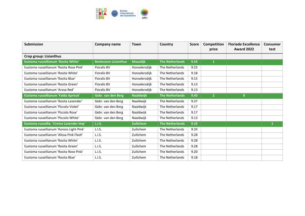

| <b>Submission</b>                        | <b>Company name</b>          | Town             | Country                | <b>Score</b> | Competition<br>prize | <b>Floriade Excellence</b><br><b>Award 2022</b> | Consumer<br>test |
|------------------------------------------|------------------------------|------------------|------------------------|--------------|----------------------|-------------------------------------------------|------------------|
|                                          |                              |                  |                        |              |                      |                                                 |                  |
| Crop group: Lisianthus                   |                              |                  |                        |              |                      |                                                 |                  |
| Eustoma russellianum 'Rosita White'      | <b>Beishuizen Lisianthus</b> | <b>Maasdijk</b>  | <b>The Netherlands</b> | 9.54         | $\mathbf{1}$         |                                                 |                  |
| Eustoma russellianum 'Rosita Rose Pink'  | <b>Floralis BV</b>           | Honselersdijk    | The Netherlands        | 9.25         |                      |                                                 |                  |
| Eustoma russellianum 'Rosita White'      | <b>Floralis BV</b>           | Honselersdijk    | The Netherlands        | 9.18         |                      |                                                 |                  |
| Eustoma russellianum 'Rosita Blue'       | <b>Floralis BV</b>           | Honselersdijk    | The Netherlands        | 9.15         |                      |                                                 |                  |
| Eustoma russellianum 'Rosita Green'      | <b>Floralis BV</b>           | Honselersdijk    | The Netherlands        | 9.13         |                      |                                                 |                  |
| Eustoma russellianum 'Arosa Red'         | <b>Floralis BV</b>           | Honselersdijk    | The Netherlands        | 9.13         |                      |                                                 |                  |
| Eustoma russellianum 'Falda Apricot'     | Gebr. van den Berg           | <b>Naaldwijk</b> | <b>The Netherlands</b> | 9.43         | $\overline{2}$       | $\mathsf{x}$                                    |                  |
| Eustoma russellianum 'Rosita Lavender'   | Gebr. van den Berg           | Naaldwijk        | The Netherlands        | 9.37         |                      |                                                 |                  |
| Eustoma russellianum 'Piccolo Violet'    | Gebr. van den Berg           | Naaldwijk        | The Netherlands        | 9.17         |                      |                                                 |                  |
| Eustoma russellianum 'Piccolo Rose'      | Gebr. van den Berg           | Naaldwijk        | The Netherlands        | 9.17         |                      |                                                 |                  |
| Eustoma russellianum 'Piccolo White'     | Gebr. van den Berg           | Naaldwijk        | The Netherlands        | 9.13         |                      |                                                 |                  |
| Eustoma russellia. 'Croma Lavender Imp'  | <b>L.I.S.</b>                | <b>Zuilichem</b> | <b>The Netherlands</b> | 9.33         |                      |                                                 | $\mathbf{1}$     |
| Eustoma russellianum 'Korezo Light Pink' | L.I.S.                       | Zuilichem        | The Netherlands        | 9.33         |                      |                                                 |                  |
| Eustoma russellianum 'Alissa Pink Flash' | L.I.S.                       | Zuilichem        | The Netherlands        | 9.28         |                      |                                                 |                  |
| Eustoma russellianum 'Rosita White'      | L.I.S.                       | Zuilichem        | The Netherlands        | 9.28         |                      |                                                 |                  |
| Eustoma russellianum 'Rosita Green'      | L.I.S.                       | Zuilichem        | The Netherlands        | 9.28         |                      |                                                 |                  |
| Eustoma russellianum 'Rosita Rose Pink'  | L.I.S.                       | Zuilichem        | The Netherlands        | 9.20         |                      |                                                 |                  |
| Eustoma russellianum 'Rosita Blue'       | L.I.S.                       | Zuilichem        | The Netherlands        | 9.18         |                      |                                                 |                  |